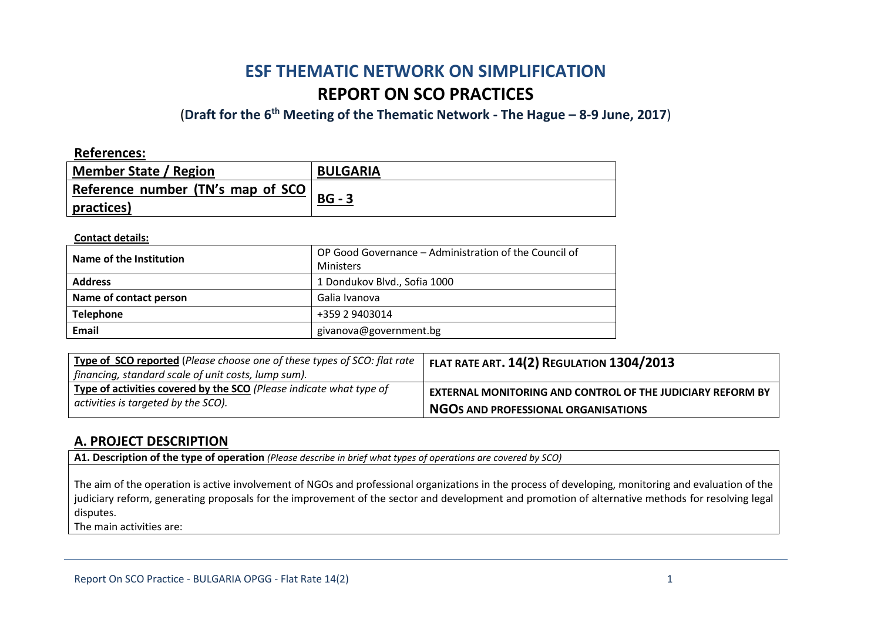# **ESF THEMATIC NETWORK ON SIMPLIFICATION REPORT ON SCO PRACTICES**

(**Draft for the 6th Meeting of the Thematic Network - The Hague – 8-9 June, 2017**)

| <b>References:</b>                  |                 |
|-------------------------------------|-----------------|
| <b>Member State / Region</b>        | <b>BULGARIA</b> |
| Reference number (TN's map of SCO I | $BG - 3$        |
| practices)                          |                 |

### **Contact details:**

| Name of the Institution | OP Good Governance – Administration of the Council of |
|-------------------------|-------------------------------------------------------|
|                         | <b>Ministers</b>                                      |
| <b>Address</b>          | 1 Dondukov Blvd., Sofia 1000                          |
| Name of contact person  | Galia Ivanova                                         |
| <b>Telephone</b>        | +359 2 9403014                                        |
| Email                   | givanova@government.bg                                |

| Type of SCO reported (Please choose one of these types of SCO: flat rate<br>  financing, standard scale of unit costs, lump sum). | FLAT RATE ART. 14(2) REGULATION 1304/2013                         |
|-----------------------------------------------------------------------------------------------------------------------------------|-------------------------------------------------------------------|
| Type of activities covered by the SCO (Please indicate what type of                                                               | <b>EXTERNAL MONITORING AND CONTROL OF THE JUDICIARY REFORM BY</b> |
| $\vert$ activities is targeted by the SCO).                                                                                       | NGOS AND PROFESSIONAL ORGANISATIONS                               |

### **A. PROJECT DESCRIPTION**

**A1. Description of the type of operation** *(Please describe in brief what types of operations are covered by SCO)*

The aim of the operation is active involvement of NGOs and professional organizations in the process of developing, monitoring and evaluation of the judiciary reform, generating proposals for the improvement of the sector and development and promotion of alternative methods for resolving legal disputes.

The main activities are: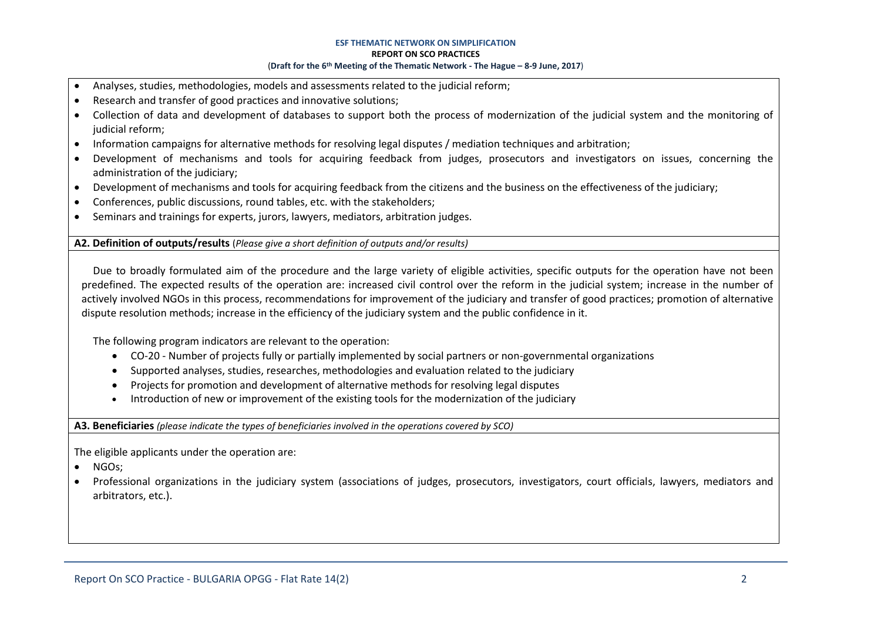- Analyses, studies, methodologies, models and assessments related to the judicial reform;
- Research and transfer of good practices and innovative solutions;
- Collection of data and development of databases to support both the process of modernization of the judicial system and the monitoring of judicial reform;
- Information campaigns for alternative methods for resolving legal disputes / mediation techniques and arbitration;
- Development of mechanisms and tools for acquiring feedback from judges, prosecutors and investigators on issues, concerning the administration of the judiciary;
- Development of mechanisms and tools for acquiring feedback from the citizens and the business on the effectiveness of the judiciary;
- Conferences, public discussions, round tables, etc. with the stakeholders;
- Seminars and trainings for experts, jurors, lawyers, mediators, arbitration judges.

**A2. Definition of outputs/results** (*Please give a short definition of outputs and/or results)*

Due to broadly formulated aim of the procedure and the large variety of eligible activities, specific outputs for the operation have not been predefined. The expected results of the operation are: increased civil control over the reform in the judicial system; increase in the number of actively involved NGOs in this process, recommendations for improvement of the judiciary and transfer of good practices; promotion of alternative dispute resolution methods; increase in the efficiency of the judiciary system and the public confidence in it.

The following program indicators are relevant to the operation:

- CO-20 Number of projects fully or partially implemented by social partners or non-governmental organizations
- Supported analyses, studies, researches, methodologies and evaluation related to the judiciary
- Projects for promotion and development of alternative methods for resolving legal disputes
- Introduction of new or improvement of the existing tools for the modernization of the judiciary

**A3. Beneficiaries** *(please indicate the types of beneficiaries involved in the operations covered by SCO)*

The eligible applicants under the operation are:

• NGOs:

 Professional organizations in the judiciary system (associations of judges, prosecutors, investigators, court officials, lawyers, mediators and arbitrators, etc.).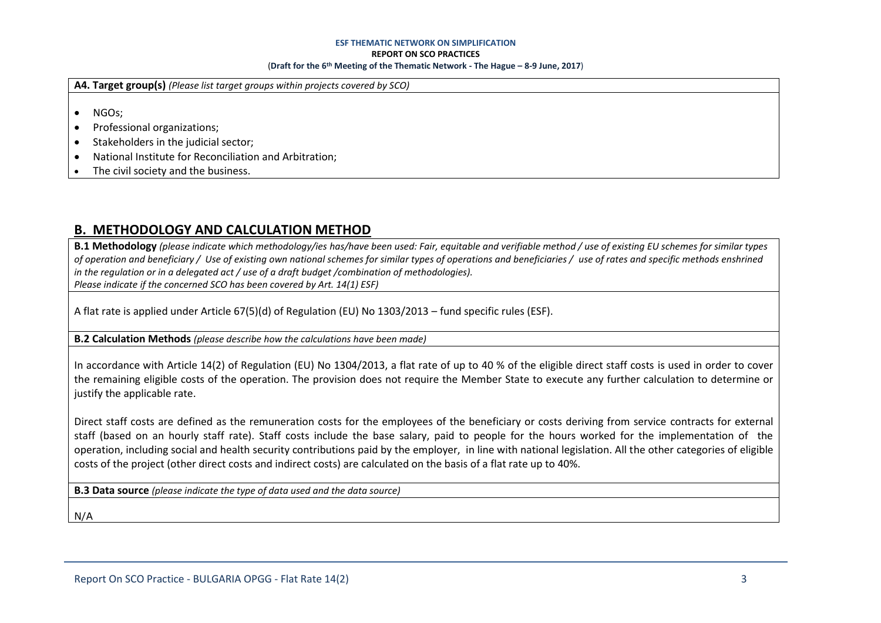#### **ESF THEMATIC NETWORK ON SIMPLIFICATION**

#### **REPORT ON SCO PRACTICES**

#### (**Draft for the 6th Meeting of the Thematic Network - The Hague – 8-9 June, 2017**)

| A4. Target group(s) (Please list target groups within projects covered by SCO) |  |  |
|--------------------------------------------------------------------------------|--|--|
|                                                                                |  |  |
| NGOs;                                                                          |  |  |
| Professional organizations;                                                    |  |  |
| Stakeholders in the judicial sector;                                           |  |  |
| National Institute for Reconciliation and Arbitration;                         |  |  |
| The civil society and the business.                                            |  |  |
|                                                                                |  |  |

### **B. METHODOLOGY AND CALCULATION METHOD**

**B.1 Methodology** *(please indicate which methodology/ies has/have been used: Fair, equitable and verifiable method / use of existing EU schemes for similar types of operation and beneficiary / Use of existing own national schemes for similar types of operations and beneficiaries / use of rates and specific methods enshrined in the regulation or in a delegated act / use of a draft budget /combination of methodologies). Please indicate if the concerned SCO has been covered by Art. 14(1) ESF)*

A flat rate is applied under Article 67(5)(d) of Regulation (EU) No 1303/2013 – fund specific rules (ESF).

**B.2 Calculation Methods** *(please describe how the calculations have been made)*

In accordance with Article 14(2) of Regulation (EU) No 1304/2013, a flat rate of up to 40 % of the eligible direct staff costs is used in order to cover the remaining eligible costs of the operation. The provision does not require the Member State to execute any further calculation to determine or justify the applicable rate.

Direct staff costs are defined as the remuneration costs for the employees of the beneficiary or costs deriving from service contracts for external staff (based on an hourly staff rate). Staff costs include the base salary, paid to people for the hours worked for the implementation of the operation, including social and health security contributions paid by the employer, in line with national legislation. All the other categories of eligible costs of the project (other direct costs and indirect costs) are calculated on the basis of a flat rate up to 40%.

**B.3 Data source** *(please indicate the type of data used and the data source)*

N/A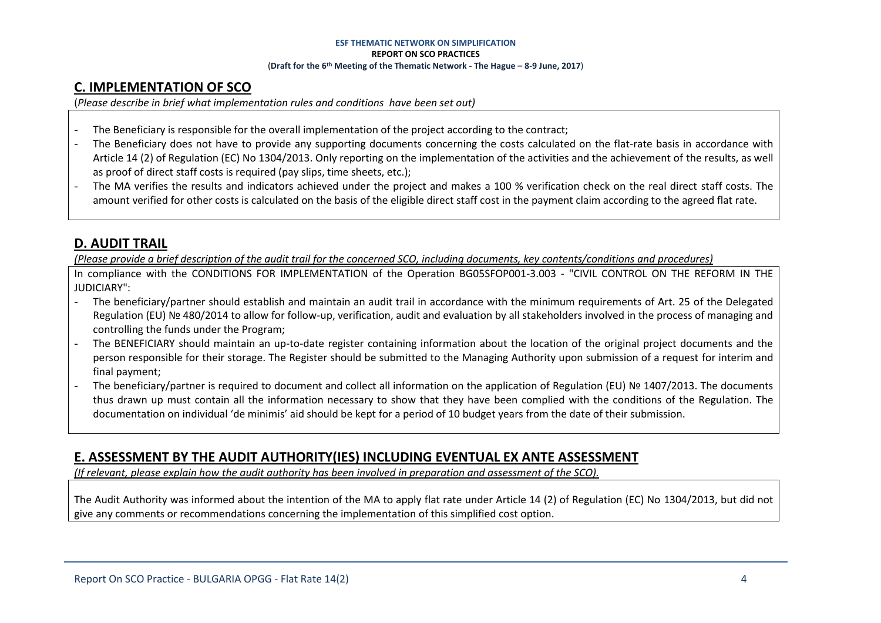## **C. IMPLEMENTATION OF SCO**

(*Please describe in brief what implementation rules and conditions have been set out)*

- The Beneficiary is responsible for the overall implementation of the project according to the contract;
- The Beneficiary does not have to provide any supporting documents concerning the costs calculated on the flat-rate basis in accordance with Article 14 (2) of Regulation (EC) No 1304/2013. Only reporting on the implementation of the activities and the achievement of the results, as well as proof of direct staff costs is required (pay slips, time sheets, etc.);
- The MA verifies the results and indicators achieved under the project and makes a 100 % verification check on the real direct staff costs. The amount verified for other costs is calculated on the basis of the eligible direct staff cost in the payment claim according to the agreed flat rate.

## **D. AUDIT TRAIL**

*(Please provide a brief description of the audit trail for the concerned SCO, including documents, key contents/conditions and procedures)*

In compliance with the CONDITIONS FOR IMPLEMENTATION of the Operation BG05SFOP001-3.003 - "CIVIL CONTROL ON THE REFORM IN THE JUDICIARY":

- The beneficiary/partner should establish and maintain an audit trail in accordance with the minimum requirements of Art. 25 of the Delegated Regulation (EU) № 480/2014 to allow for follow-up, verification, audit and evaluation by all stakeholders involved in the process of managing and controlling the funds under the Program;
- The BENEFICIARY should maintain an up-to-date register containing information about the location of the original project documents and the person responsible for their storage. The Register should be submitted to the Managing Authority upon submission of a request for interim and final payment;
- The beneficiary/partner is required to document and collect all information on the application of Regulation (EU) № 1407/2013. The documents thus drawn up must contain all the information necessary to show that they have been complied with the conditions of the Regulation. The documentation on individual 'de minimis' aid should be kept for a period of 10 budget years from the date of their submission.

## **E. ASSESSMENT BY THE AUDIT AUTHORITY(IES) INCLUDING EVENTUAL EX ANTE ASSESSMENT**

*(If relevant, please explain how the audit authority has been involved in preparation and assessment of the SCO).* 

The Audit Authority was informed about the intention of the MA to apply flat rate under Article 14 (2) of Regulation (EC) No 1304/2013, but did not give any comments or recommendations concerning the implementation of this simplified cost option.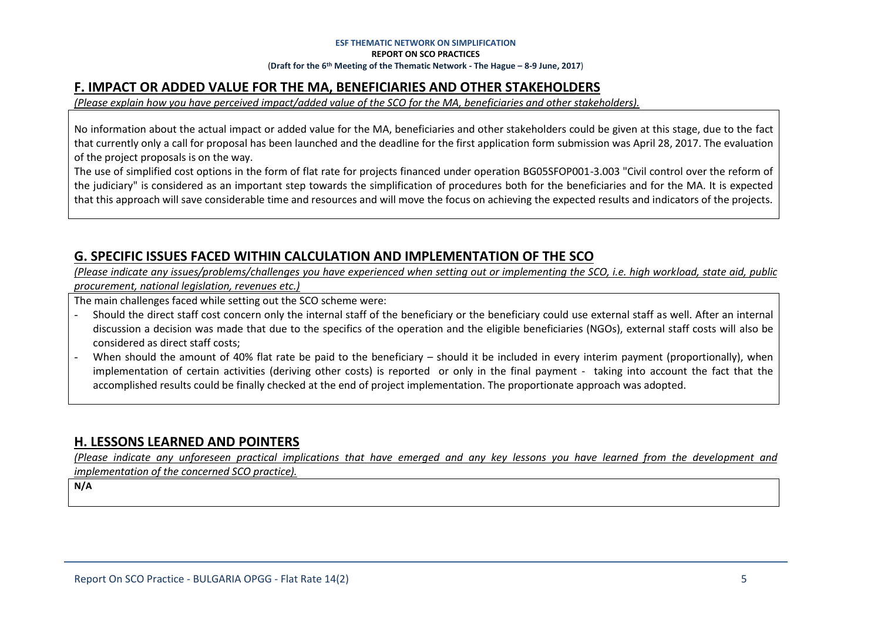### **F. IMPACT OR ADDED VALUE FOR THE MA, BENEFICIARIES AND OTHER STAKEHOLDERS**

*(Please explain how you have perceived impact/added value of the SCO for the MA, beneficiaries and other stakeholders).* 

No information about the actual impact or added value for the MA, beneficiaries and other stakeholders could be given at this stage, due to the fact that currently only a call for proposal has been launched and the deadline for the first application form submission was April 28, 2017. The evaluation of the project proposals is on the way.

The use of simplified cost options in the form of flat rate for projects financed under operation BG05SFOP001-3.003 "Civil control over the reform of the judiciary" is considered as an important step towards the simplification of procedures both for the beneficiaries and for the MA. It is expected that this approach will save considerable time and resources and will move the focus on achieving the expected results and indicators of the projects.

### **G. SPECIFIC ISSUES FACED WITHIN CALCULATION AND IMPLEMENTATION OF THE SCO**

*(Please indicate any issues/problems/challenges you have experienced when setting out or implementing the SCO, i.e. high workload, state aid, public procurement, national legislation, revenues etc.)*

The main challenges faced while setting out the SCO scheme were:

- Should the direct staff cost concern only the internal staff of the beneficiary or the beneficiary could use external staff as well. After an internal discussion a decision was made that due to the specifics of the operation and the eligible beneficiaries (NGOs), external staff costs will also be considered as direct staff costs;
- When should the amount of 40% flat rate be paid to the beneficiary should it be included in every interim payment (proportionally), when implementation of certain activities (deriving other costs) is reported or only in the final payment - taking into account the fact that the accomplished results could be finally checked at the end of project implementation. The proportionate approach was adopted.

### **H. LESSONS LEARNED AND POINTERS**

*(Please indicate any unforeseen practical implications that have emerged and any key lessons you have learned from the development and implementation of the concerned SCO practice).*

**N/A**